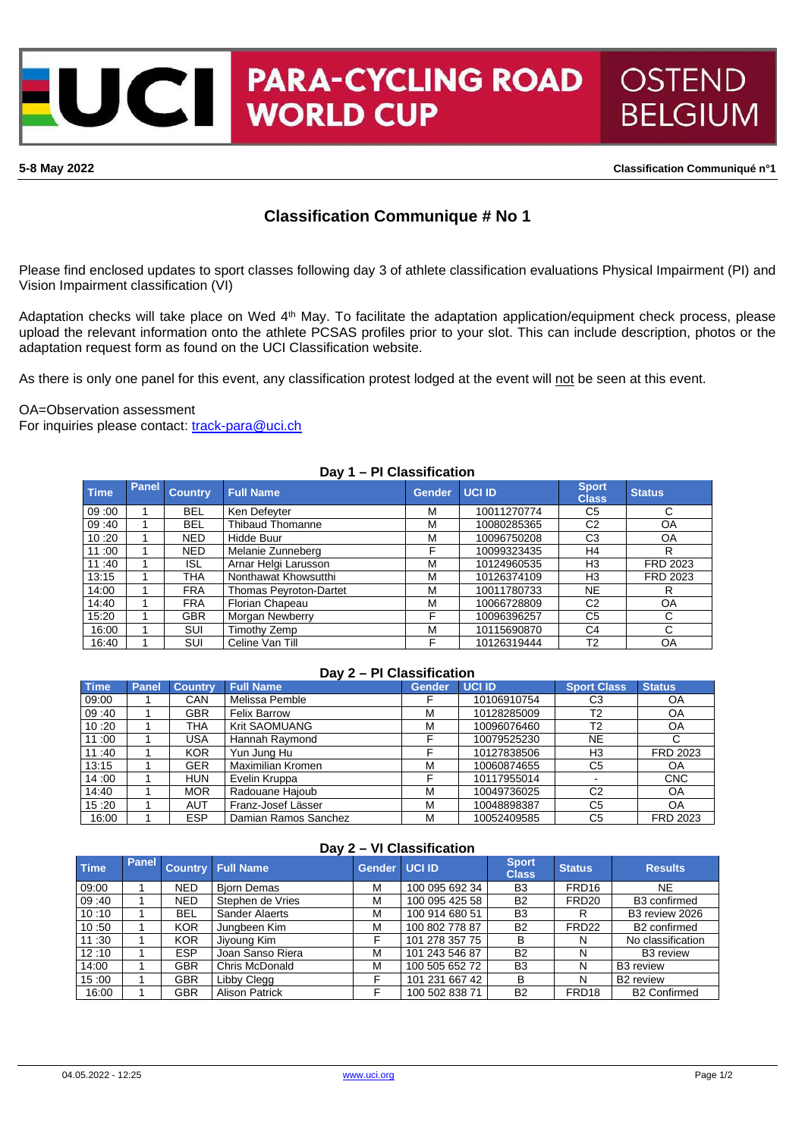**PARA-CYCLING ROAD**  $\blacksquare$ **WORLD CUP** 

**5-8 May 2022 Classification Communiqué n°1**

**OSTEND** 

**BELGIUM** 

# **Classification Communique # No 1**

Please find enclosed updates to sport classes following day 3 of athlete classification evaluations Physical Impairment (PI) and Vision Impairment classification (VI)

Adaptation checks will take place on Wed 4<sup>th</sup> May. To facilitate the adaptation application/equipment check process, please upload the relevant information onto the athlete PCSAS profiles prior to your slot. This can include description, photos or the adaptation request form as found on the UCI Classification website.

As there is only one panel for this event, any classification protest lodged at the event will not be seen at this event.

## OA=Observation assessment

For inquiries please contact: [track-para@uci.ch](mailto:track-para@uci.ch)

|             | Day 1 – FI VIASSIIIVALIUII |                |                               |        |               |                              |               |  |  |  |  |
|-------------|----------------------------|----------------|-------------------------------|--------|---------------|------------------------------|---------------|--|--|--|--|
| <b>Time</b> | Panel                      | <b>Country</b> | <b>Full Name</b>              | Gender | <b>UCI ID</b> | <b>Sport</b><br><b>Class</b> | <b>Status</b> |  |  |  |  |
| 09:00       |                            | <b>BEL</b>     | Ken Defeyter                  | м      | 10011270774   | C <sub>5</sub>               | C             |  |  |  |  |
| 09:40       |                            | <b>BEL</b>     | <b>Thibaud Thomanne</b>       | м      | 10080285365   | C <sub>2</sub>               | OA            |  |  |  |  |
| 10:20       |                            | <b>NED</b>     | Hidde Buur                    | М      | 10096750208   | C <sub>3</sub>               | OA            |  |  |  |  |
| 11:00       |                            | <b>NED</b>     | Melanie Zunneberg             | F      | 10099323435   | H4                           | R             |  |  |  |  |
| 11:40       |                            | ISL            | Arnar Helgi Larusson          | М      | 10124960535   | H3                           | FRD 2023      |  |  |  |  |
| 13:15       |                            | THA            | Nonthawat Khowsutthi          | м      | 10126374109   | H <sub>3</sub>               | FRD 2023      |  |  |  |  |
| 14:00       |                            | <b>FRA</b>     | <b>Thomas Peyroton-Dartet</b> | М      | 10011780733   | <b>NE</b>                    | R             |  |  |  |  |
| 14:40       |                            | <b>FRA</b>     | Florian Chapeau               | М      | 10066728809   | C <sub>2</sub>               | OA            |  |  |  |  |
| 15:20       |                            | <b>GBR</b>     | Morgan Newberry               | F      | 10096396257   | C <sub>5</sub>               | С             |  |  |  |  |
| 16:00       |                            | SUI            | Timothy Zemp                  | м      | 10115690870   | C <sub>4</sub>               | C             |  |  |  |  |
| 16:40       |                            | SUI            | Celine Van Till               | F      | 10126319444   | T <sub>2</sub>               | OA            |  |  |  |  |

## **Day 1 – PI Classification**

| Day Z – PI Glassification |              |                |                      |               |               |                    |               |  |  |
|---------------------------|--------------|----------------|----------------------|---------------|---------------|--------------------|---------------|--|--|
| <b>Time</b>               | <b>Panel</b> | <b>Country</b> | <b>Full Name</b>     | <b>Gender</b> | <b>UCI ID</b> | <b>Sport Class</b> | <b>Status</b> |  |  |
| 09:00                     |              | CAN            | Melissa Pemble       |               | 10106910754   | CЗ                 | OA            |  |  |
| 09:40                     |              | GBR            | <b>Felix Barrow</b>  | м             | 10128285009   | T <sub>2</sub>     | OA            |  |  |
| 10:20                     |              | THA            | <b>Krit SAOMUANG</b> | М             | 10096076460   | T <sub>2</sub>     | OA            |  |  |
| 11:00                     |              | USA            | Hannah Raymond       |               | 10079525230   | <b>NE</b>          |               |  |  |
| 11:40                     |              | <b>KOR</b>     | Yun Jung Hu          |               | 10127838506   | H <sub>3</sub>     | FRD 2023      |  |  |
| 13:15                     |              | GER            | Maximilian Kromen    | М             | 10060874655   | C <sub>5</sub>     | OA            |  |  |
| 14:00                     |              | <b>HUN</b>     | Evelin Kruppa        |               | 10117955014   |                    | <b>CNC</b>    |  |  |
| 14:40                     |              | <b>MOR</b>     | Radouane Haioub      | М             | 10049736025   | C <sub>2</sub>     | <b>OA</b>     |  |  |
| 15:20                     |              | AUT            | Franz-Josef Lässer   | М             | 10048898387   | C <sub>5</sub>     | OA            |  |  |
| 16:00                     |              | <b>ESP</b>     | Damian Ramos Sanchez | м             | 10052409585   | C <sub>5</sub>     | FRD 2023      |  |  |

**Day 2 – PI Classification**

| Day 2 – VI Classification |              |            |                          |               |                |                              |                   |                          |  |  |  |
|---------------------------|--------------|------------|--------------------------|---------------|----------------|------------------------------|-------------------|--------------------------|--|--|--|
| <b>Time</b>               | <b>Panel</b> |            | <b>Country Full Name</b> | Gender UCI ID |                | <b>Sport</b><br><b>Class</b> | <b>Status</b>     | <b>Results</b>           |  |  |  |
| 09:00                     |              | <b>NED</b> | <b>Biorn Demas</b>       | м             | 100 095 692 34 | B <sub>3</sub>               | FRD <sub>16</sub> | NE.                      |  |  |  |
| 09:40                     |              | NED        | Stephen de Vries         | М             | 100 095 425 58 | <b>B2</b>                    | FRD <sub>20</sub> | B <sub>3</sub> confirmed |  |  |  |
| 10:10                     |              | BEL        | Sander Alaerts           | м             | 100 914 680 51 | B <sub>3</sub>               | R                 | B3 review 2026           |  |  |  |
| 10:50                     |              | <b>KOR</b> | Jungbeen Kim             | М             | 100 802 778 87 | <b>B2</b>                    | FRD <sub>22</sub> | B <sub>2</sub> confirmed |  |  |  |
| 11:30                     |              | <b>KOR</b> | Jiyoung Kim              |               | 101 278 357 75 | в                            | N                 | No classification        |  |  |  |
| 12:10                     |              | <b>ESP</b> | Joan Sanso Riera         | м             | 101 243 546 87 | <b>B2</b>                    | N                 | B <sub>3</sub> review    |  |  |  |
| 14:00                     |              | GBR        | Chris McDonald           | м             | 100 505 652 72 | B <sub>3</sub>               | N                 | B3 review                |  |  |  |
| 15:00                     |              | GBR        | Libby Clegg              | F             | 101 231 667 42 | B                            | N                 | B <sub>2</sub> review    |  |  |  |
| 16:00                     |              | GBR        | <b>Alison Patrick</b>    |               | 100 502 838 71 | <b>B2</b>                    | FRD <sub>18</sub> | <b>B2 Confirmed</b>      |  |  |  |

## **Day 2 – VI Classification**